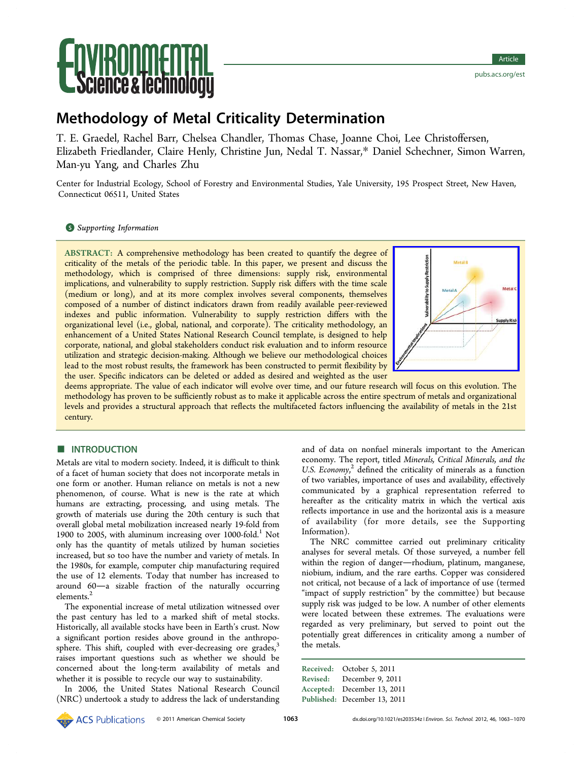# **Ce & lechnologu**

# Methodology of Metal Criticality Determination

T. E. Graedel, Rachel Barr, Chelsea Chandler, Thomas Chase, Joanne Choi, Lee Christoffersen, Elizabeth Friedlander, Claire Henly, Christine Jun, Nedal T. Nassar,[\\*](#page-7-0) Daniel Schechner, Simon Warren, Man-yu Yang, and Charles Zhu

Center for Industrial Ecology, School of Forestry and Environmental Studies, Yale University, 195 Prospect Street, New Haven, Connecticut 06511, United States

# **S** [Supporting Information](#page-6-0)

ABSTRACT: A comprehensive methodology has been created to quantify the degree of criticality of the metals of the periodic table. In this paper, we present and discuss the methodology, which is comprised of three dimensions: supply risk, environmental implications, and vulnerability to supply restriction. Supply risk differs with the time scale (medium or long), and at its more complex involves several components, themselves composed of a number of distinct indicators drawn from readily available peer-reviewed indexes and public information. Vulnerability to supply restriction differs with the organizational level (i.e., global, national, and corporate). The criticality methodology, an enhancement of a United States National Research Council template, is designed to help corporate, national, and global stakeholders conduct risk evaluation and to inform resource utilization and strategic decision-making. Although we believe our methodological choices lead to the most robust results, the framework has been constructed to permit flexibility by the user. Specific indicators can be deleted or added as desired and weighted as the user



deems appropriate. The value of each indicator will evolve over time, and our future research will focus on this evolution. The methodology has proven to be sufficiently robust as to make it applicable across the entire spectrum of metals and organizational levels and provides a structural approach that reflects the multifaceted factors influencing the availability of metals in the 21st century.

# **ENTRODUCTION**

Metals are vital to modern society. Indeed, it is difficult to think of a facet of human society that does not incorporate metals in one form or another. Human reliance on metals is not a new phenomenon, of course. What is new is the rate at which humans are extracting, processing, and using metals. The growth of materials use during the 20th century is such that overall global metal mobilization increased nearly 19-fold from [1](#page-7-0)900 to 2005, with aluminum increasing over  $1000$ -fold.<sup>1</sup> Not only has the quantity of metals utilized by human societies increased, but so too have the number and variety of metals. In the 1980s, for example, computer chip manufacturing required the use of 12 elements. Today that number has increased to around  $60$ —a sizable fraction of the naturally occurring elements.<sup>[2](#page-7-0)</sup>

The exponential increase of metal utilization witnessed over the past century has led to a marked shift of metal stocks. Historically, all available stocks have been in Earth's crust. Now a significant portion resides above ground in the anthroposphere. This shift, coupled with ever-decreasing ore grades, $3$ raises important questions such as whether we should be concerned about the long-term availability of metals and whether it is possible to recycle our way to sustainability.

In 2006, the United States National Research Council (NRC) undertook a study to address the lack of understanding and of data on nonfuel minerals important to the American economy. The report, titled Minerals, Critical Minerals, and the U.S. Economy,<sup>[2](#page-7-0)</sup> defined the criticality of minerals as a function of two variables, importance of uses and availability, effectively communicated by a graphical representation referred to hereafter as the criticality matrix in which the vertical axis reflects importance in use and the horizontal axis is a measure of availability (for more details, see the [Supporting](#page-6-0) [Information\)](#page-6-0).

The NRC committee carried out preliminary criticality analyses for several metals. Of those surveyed, a number fell within the region of danger-rhodium, platinum, manganese, niobium, indium, and the rare earths. Copper was considered not critical, not because of a lack of importance of use (termed "impact of supply restriction" by the committee) but because supply risk was judged to be low. A number of other elements were located between these extremes. The evaluations were regarded as very preliminary, but served to point out the potentially great differences in criticality among a number of the metals.

| Received: October 5, 2011    |
|------------------------------|
| Revised: December 9, 2011    |
| Accepted: December 13, 2011  |
| Published: December 13, 2011 |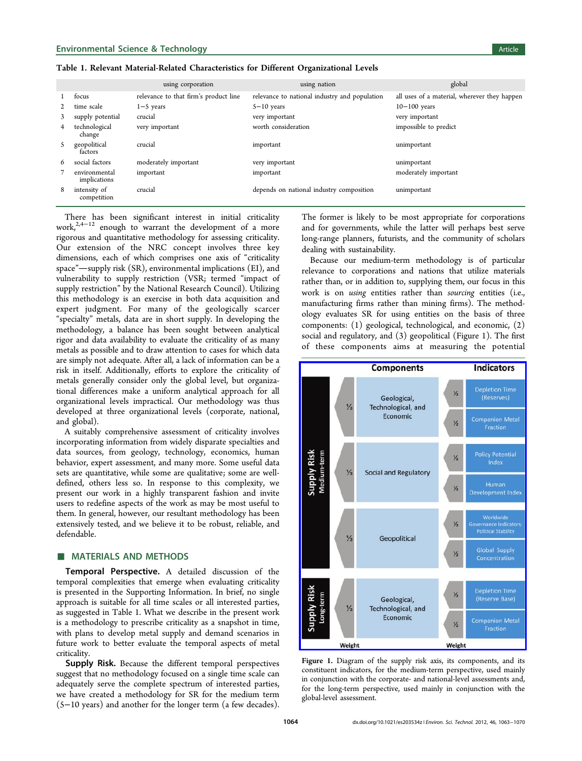|  |  |  |  |  |  | Table 1. Relevant Material-Related Characteristics for Different Organizational Levels |  |  |  |  |  |  |
|--|--|--|--|--|--|----------------------------------------------------------------------------------------|--|--|--|--|--|--|
|--|--|--|--|--|--|----------------------------------------------------------------------------------------|--|--|--|--|--|--|

|   |                               | using corporation                     | using nation                                  | global                                       |
|---|-------------------------------|---------------------------------------|-----------------------------------------------|----------------------------------------------|
|   | focus                         | relevance to that firm's product line | relevance to national industry and population | all uses of a material, wherever they happen |
|   | time scale                    | $1-5$ years                           | $5 - 10$ years                                | $10-100$ years                               |
| 3 | supply potential              | crucial                               | very important                                | very important                               |
| 4 | technological<br>change       | very important                        | worth consideration                           | impossible to predict                        |
| 5 | geopolitical<br>factors       | crucial                               | important                                     | unimportant                                  |
| 6 | social factors                | moderately important                  | very important                                | unimportant                                  |
|   | environmental<br>implications | important                             | important                                     | moderately important                         |
| 8 | intensity of<br>competition   | crucial                               | depends on national industry composition      | unimportant                                  |

There has been significant interest in initial criticality work, $24-12$  $24-12$  enough to warrant the development of a more rigorous and quantitative methodology for assessing criticality. Our extension of the NRC concept involves three key dimensions, each of which comprises one axis of "criticality space"—supply risk  $(SR)$ , environmental implications  $(EI)$ , and vulnerability to supply restriction (VSR; termed "impact of supply restriction" by the National Research Council). Utilizing this methodology is an exercise in both data acquisition and expert judgment. For many of the geologically scarcer "specialty" metals, data are in short supply. In developing the methodology, a balance has been sought between analytical rigor and data availability to evaluate the criticality of as many metals as possible and to draw attention to cases for which data are simply not adequate. After all, a lack of information can be a risk in itself. Additionally, efforts to explore the criticality of metals generally consider only the global level, but organizational differences make a uniform analytical approach for all organizational levels impractical. Our methodology was thus developed at three organizational levels (corporate, national, and global).

A suitably comprehensive assessment of criticality involves incorporating information from widely disparate specialties and data sources, from geology, technology, economics, human behavior, expert assessment, and many more. Some useful data sets are quantitative, while some are qualitative; some are welldefined, others less so. In response to this complexity, we present our work in a highly transparent fashion and invite users to redefine aspects of the work as may be most useful to them. In general, however, our resultant methodology has been extensively tested, and we believe it to be robust, reliable, and defendable.

# ■ MATERIALS AND METHODS

Temporal Perspective. A detailed discussion of the temporal complexities that emerge when evaluating criticality is presented in the [Supporting Information](#page-6-0). In brief, no single approach is suitable for all time scales or all interested parties, as suggested in Table [1.](#page-1-0) What we describe in the present work is a methodology to prescribe criticality as a snapshot in time, with plans to develop metal supply and demand scenarios in future work to better evaluate the temporal aspects of metal criticality.

<span id="page-1-0"></span>Supply Risk. Because the different temporal perspectives suggest that no methodology focused on a single time scale can adequately serve the complete spectrum of interested parties, we have created a methodology for SR for the medium term (5−10 years) and another for the longer term (a few decades).

The former is likely to be most appropriate for corporations and for governments, while the latter will perhaps best serve long-range planners, futurists, and the community of scholars dealing with sustainability.

Because our medium-term methodology is of particular relevance to corporations and nations that utilize materials rather than, or in addition to, supplying them, our focus in this work is on using entities rather than sourcing entities (i.e., manufacturing firms rather than mining firms). The methodology evaluates SR for using entities on the basis of three components: (1) geological, technological, and economic, (2) social and regulatory, and (3) geopolitical (Figure [1\)](#page-1-0). The first of these components aims at measuring the potential



Figure 1. Diagram of the supply risk axis, its components, and its constituent indicators, for the medium-term perspective, used mainly in conjunction with the corporate- and national-level assessments and, for the long-term perspective, used mainly in conjunction with the global-level assessment.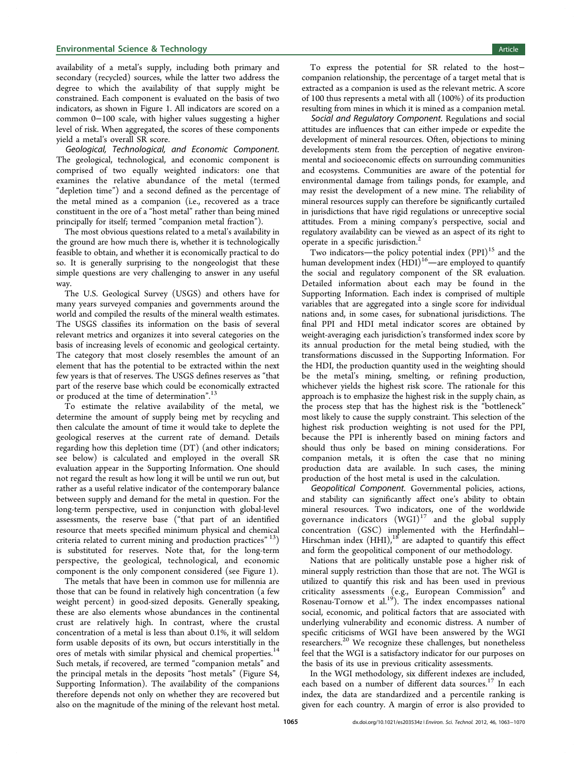### Environmental Science & Technology **Article Article Article Article Article**

availability of a metal's supply, including both primary and secondary (recycled) sources, while the latter two address the degree to which the availability of that supply might be constrained. Each component is evaluated on the basis of two indicators, as shown in Figure [1.](#page-1-0) All indicators are scored on a common 0−100 scale, with higher values suggesting a higher level of risk. When aggregated, the scores of these components yield a metal's overall SR score.

Geological, Technological, and Economic Component. The geological, technological, and economic component is comprised of two equally weighted indicators: one that examines the relative abundance of the metal (termed "depletion time") and a second defined as the percentage of the metal mined as a companion (i.e., recovered as a trace constituent in the ore of a "host metal" rather than being mined principally for itself; termed "companion metal fraction").

The most obvious questions related to a metal's availability in the ground are how much there is, whether it is technologically feasible to obtain, and whether it is economically practical to do so. It is generally surprising to the nongeologist that these simple questions are very challenging to answer in any useful way.

The U.S. Geological Survey (USGS) and others have for many years surveyed companies and governments around the world and compiled the results of the mineral wealth estimates. The USGS classifies its information on the basis of several relevant metrics and organizes it into several categories on the basis of increasing levels of economic and geological certainty. The category that most closely resembles the amount of an element that has the potential to be extracted within the next few years is that of reserves. The USGS defines reserves as "that part of the reserve base which could be economically extracted or produced at the time of determination".<sup>[13](#page-7-0)</sup>

To estimate the relative availability of the metal, we determine the amount of supply being met by recycling and then calculate the amount of time it would take to deplete the geological reserves at the current rate of demand. Details regarding how this depletion time (DT) (and other indicators; see below) is calculated and employed in the overall SR evaluation appear in the [Supporting Information](#page-6-0). One should not regard the result as how long it will be until we run out, but rather as a useful relative indicator of the contemporary balance between supply and demand for the metal in question. For the long-term perspective, used in conjunction with global-level assessments, the reserve base ("that part of an identified resource that meets specified minimum physical and chemical criteria related to current mining and production practices<sup>" 13</sup>) is substituted for reserves. Note that, for the long-term perspective, the geological, technological, and economic component is the only component considered (see Figure [1](#page-1-0)).

The metals that have been in common use for millennia are those that can be found in relatively high concentration (a few weight percent) in good-sized deposits. Generally speaking, these are also elements whose abundances in the continental crust are relatively high. In contrast, where the crustal concentration of a metal is less than about 0.1%, it will seldom form usable deposits of its own, but occurs interstitially in the ores of metals with similar physical and chemical properties.<sup>[14](#page-7-0)</sup> Such metals, if recovered, are termed "companion metals" and the principal metals in the deposits "host metals" (Figure S4, [Supporting Information](#page-6-0)). The availability of the companions therefore depends not only on whether they are recovered but also on the magnitude of the mining of the relevant host metal.

To express the potential for SR related to the host− companion relationship, the percentage of a target metal that is extracted as a companion is used as the relevant metric. A score of 100 thus represents a metal with all (100%) of its production resulting from mines in which it is mined as a companion metal.

Social and Regulatory Component. Regulations and social attitudes are influences that can either impede or expedite the development of mineral resources. Often, objections to mining developments stem from the perception of negative environmental and socioeconomic effects on surrounding communities and ecosystems. Communities are aware of the potential for environmental damage from tailings ponds, for example, and may resist the development of a new mine. The reliability of mineral resources supply can therefore be significantly curtailed in jurisdictions that have rigid regulations or unreceptive social attitudes. From a mining company's perspective, social and regulatory availability can be viewed as an aspect of its right to operate in a specific jurisdiction.<sup>[2](#page-7-0)</sup>

Two indicators-the policy potential index  $(PPI)^{15}$  $(PPI)^{15}$  $(PPI)^{15}$  and the human development index  $(HDI)^{16}$  $(HDI)^{16}$  $(HDI)^{16}$ —are employed to quantify the social and regulatory component of the SR evaluation. Detailed information about each may be found in the [Supporting Information.](#page-6-0) Each index is comprised of multiple variables that are aggregated into a single score for individual nations and, in some cases, for subnational jurisdictions. The final PPI and HDI metal indicator scores are obtained by weight-averaging each jurisdiction's transformed index score by its annual production for the metal being studied, with the transformations discussed in the [Supporting Information](#page-6-0). For the HDI, the production quantity used in the weighting should be the metal's mining, smelting, or refining production, whichever yields the highest risk score. The rationale for this approach is to emphasize the highest risk in the supply chain, as the process step that has the highest risk is the "bottleneck" most likely to cause the supply constraint. This selection of the highest risk production weighting is not used for the PPI, because the PPI is inherently based on mining factors and should thus only be based on mining considerations. For companion metals, it is often the case that no mining production data are available. In such cases, the mining production of the host metal is used in the calculation.

Geopolitical Component. Governmental policies, actions, and stability can significantly affect one's ability to obtain mineral resources. Two indicators, one of the worldwide governance indicators  $(WGI)^{17}$  $(WGI)^{17}$  $(WGI)^{17}$  and the global supply concentration (GSC) implemented with the Herfindahl− Hirschman index  $(HHI)$ ,<sup>[18](#page-7-0)</sup> are adapted to quantify this effect and form the geopolitical component of our methodology.

Nations that are politically unstable pose a higher risk of mineral supply restriction than those that are not. The WGI is utilized to quantify this risk and has been used in previous criticality assessments (e.g., European Commission<sup>[6](#page-7-0)</sup> and Rosenau-Tornow et al.<sup>19</sup>). The index encompasses national social, economic, and political factors that are associated with underlying vulnerability and economic distress. A number of specific criticisms of WGI have been answered by the WGI researchers.[20](#page-7-0) We recognize these challenges, but nonetheless feel that the WGI is a satisfactory indicator for our purposes on the basis of its use in previous criticality assessments.

In the WGI methodology, six different indexes are included, each based on a number of different data sources.<sup>[17](#page-7-0)</sup> In each index, the data are standardized and a percentile ranking is given for each country. A margin of error is also provided to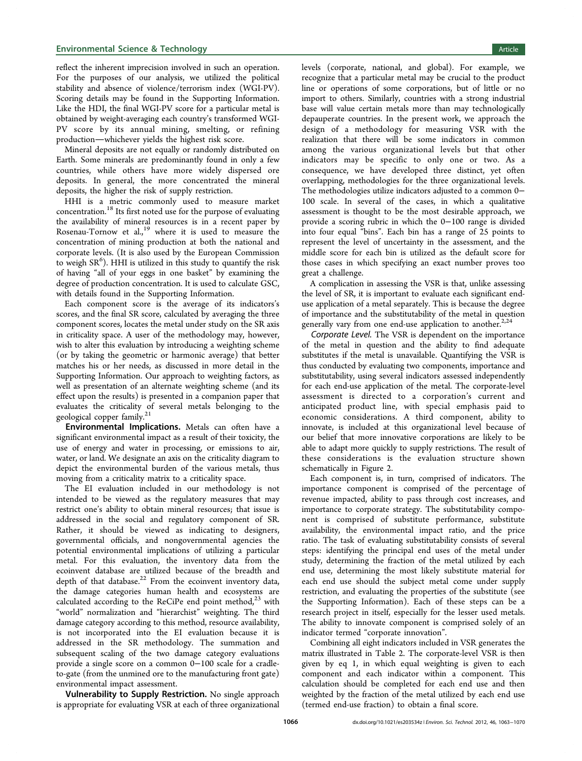reflect the inherent imprecision involved in such an operation. For the purposes of our analysis, we utilized the political stability and absence of violence/terrorism index (WGI-PV). Scoring details may be found in the [Supporting Information](#page-6-0). Like the HDI, the final WGI-PV score for a particular metal is obtained by weight-averaging each country's transformed WGI-PV score by its annual mining, smelting, or refining production-whichever yields the highest risk score.

Mineral deposits are not equally or randomly distributed on Earth. Some minerals are predominantly found in only a few countries, while others have more widely dispersed ore deposits. In general, the more concentrated the mineral deposits, the higher the risk of supply restriction.

HHI is a metric commonly used to measure market concentration.[18](#page-7-0) Its first noted use for the purpose of evaluating the availability of mineral resources is in a recent paper by Rosenau-Tornow et al., $^{19}$  $^{19}$  $^{19}$  where it is used to measure the concentration of mining production at both the national and corporate levels. (It is also used by the European Commission to weigh  $SR^6$  $SR^6$ ). HHI is utilized in this study to quantify the risk of having "all of your eggs in one basket" by examining the degree of production concentration. It is used to calculate GSC, with details found in the [Supporting Information.](#page-6-0)

Each component score is the average of its indicators's scores, and the final SR score, calculated by averaging the three component scores, locates the metal under study on the SR axis in criticality space. A user of the methodology may, however, wish to alter this evaluation by introducing a weighting scheme (or by taking the geometric or harmonic average) that better matches his or her needs, as discussed in more detail in the [Supporting Information.](#page-6-0) Our approach to weighting factors, as well as presentation of an alternate weighting scheme (and its effect upon the results) is presented in a companion paper that evaluates the criticality of several metals belonging to the geological copper family.<sup>[21](#page-7-0)</sup>

Environmental Implications. Metals can often have a significant environmental impact as a result of their toxicity, the use of energy and water in processing, or emissions to air, water, or land. We designate an axis on the criticality diagram to depict the environmental burden of the various metals, thus moving from a criticality matrix to a criticality space.

The EI evaluation included in our methodology is not intended to be viewed as the regulatory measures that may restrict one's ability to obtain mineral resources; that issue is addressed in the social and regulatory component of SR. Rather, it should be viewed as indicating to designers, governmental officials, and nongovernmental agencies the potential environmental implications of utilizing a particular metal. For this evaluation, the inventory data from the ecoinvent database are utilized because of the breadth and depth of that database.<sup>[22](#page-7-0)</sup> From the ecoinvent inventory data, the damage categories human health and ecosystems are calculated according to the ReCiPe end point method, $23$  with "world" normalization and "hierarchist" weighting. The third damage category according to this method, resource availability, is not incorporated into the EI evaluation because it is addressed in the SR methodology. The summation and subsequent scaling of the two damage category evaluations provide a single score on a common 0−100 scale for a cradleto-gate (from the unmined ore to the manufacturing front gate) environmental impact assessment.

<span id="page-3-0"></span>Vulnerability to Supply Restriction. No single approach is appropriate for evaluating VSR at each of three organizational levels (corporate, national, and global). For example, we recognize that a particular metal may be crucial to the product line or operations of some corporations, but of little or no import to others. Similarly, countries with a strong industrial base will value certain metals more than may technologically depauperate countries. In the present work, we approach the design of a methodology for measuring VSR with the realization that there will be some indicators in common among the various organizational levels but that other indicators may be specific to only one or two. As a consequence, we have developed three distinct, yet often overlapping, methodologies for the three organizational levels. The methodologies utilize indicators adjusted to a common 0− 100 scale. In several of the cases, in which a qualitative assessment is thought to be the most desirable approach, we provide a scoring rubric in which the 0−100 range is divided into four equal "bins". Each bin has a range of 25 points to represent the level of uncertainty in the assessment, and the middle score for each bin is utilized as the default score for those cases in which specifying an exact number proves too great a challenge.

A complication in assessing the VSR is that, unlike assessing the level of SR, it is important to evaluate each significant enduse application of a metal separately. This is because the degree of importance and the substitutability of the metal in question generally vary from one end-use application to another.<sup>[2](#page-7-0),[24](#page-7-0)</sup>

Corporate Level. The VSR is dependent on the importance of the metal in question and the ability to find adequate substitutes if the metal is unavailable. Quantifying the VSR is thus conducted by evaluating two components, importance and substitutability, using several indicators assessed independently for each end-use application of the metal. The corporate-level assessment is directed to a corporation's current and anticipated product line, with special emphasis paid to economic considerations. A third component, ability to innovate, is included at this organizational level because of our belief that more innovative corporations are likely to be able to adapt more quickly to supply restrictions. The result of these considerations is the evaluation structure shown schematically in Figure [2](#page-4-0).

Each component is, in turn, comprised of indicators. The importance component is comprised of the percentage of revenue impacted, ability to pass through cost increases, and importance to corporate strategy. The substitutability component is comprised of substitute performance, substitute availability, the environmental impact ratio, and the price ratio. The task of evaluating substitutability consists of several steps: identifying the principal end uses of the metal under study, determining the fraction of the metal utilized by each end use, determining the most likely substitute material for each end use should the subject metal come under supply restriction, and evaluating the properties of the substitute (see the [Supporting Information\)](#page-6-0). Each of these steps can be a research project in itself, especially for the lesser used metals. The ability to innovate component is comprised solely of an indicator termed "corporate innovation".

Combining all eight indicators included in VSR generates the matrix illustrated in Table [2](#page-4-0). The corporate-level VSR is then given by eq [1](#page-3-0), in which equal weighting is given to each component and each indicator within a component. This calculation should be completed for each end use and then weighted by the fraction of the metal utilized by each end use (termed end-use fraction) to obtain a final score.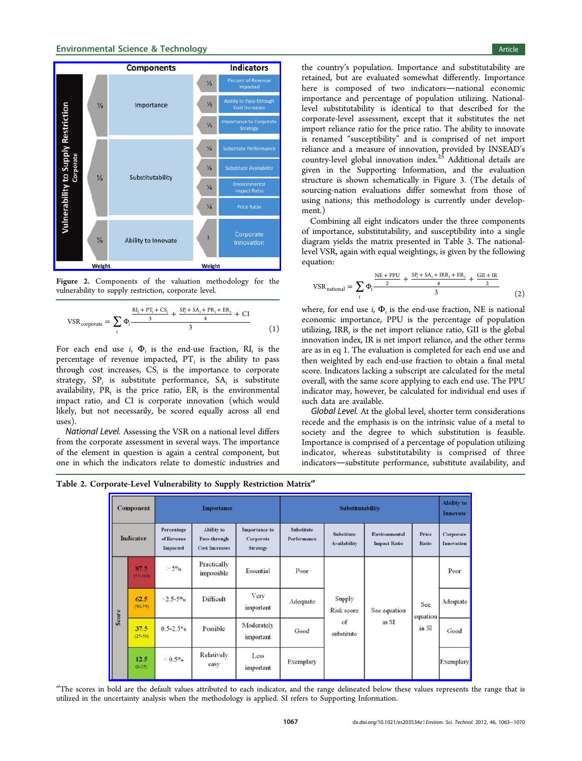#### **Environmental Science & Technology Article** Article 30 and 30 and 30 and 30 and 30 and 30 and 30 and 30 and 30 and 30 and 30 and 30 and 30 and 30 and 30 and 30 and 30 and 30 and 30 and 30 and 30 and 30 and 30 and 30 and 3



Figure 2. Components of the valuation methodology for the vulnerability to supply restriction, corporate level.

$$
\text{VSR}_{\text{corporte}} = \sum_{i} \Phi_i \frac{\frac{\text{RI}_i + \text{PT}_i + \text{CS}_i}{3} + \frac{\text{SI}_i + \text{SA}_i + \text{PR}_i + \text{ER}_i}{4} + \text{CI}}{3} \tag{1}
$$

For each end use  $i$ ,  $\Phi_i$  is the end-use fraction,  $\text{RI}_i$  is the percentage of revenue impacted,  $PT_i$  is the ability to pass through cost increases,  $CS_i$  is the importance to corporate strategy,  $SP_i$  is substitute performance,  $SA_i$  is substitute availability,  $PR_i$  is the price ratio,  $ER_i$  is the environmental impact ratio, and CI is corporate innovation (which would likely, but not necessarily, be scored equally across all end uses).

National Level. Assessing the VSR on a national level differs from the corporate assessment in several ways. The importance of the element in question is again a central component, but one in which the indicators relate to domestic industries and

the country's population. Importance and substitutability are retained, but are evaluated somewhat differently. Importance here is composed of two indicators-national economic importance and percentage of population utilizing. Nationallevel substitutability is identical to that described for the corporate-level assessment, except that it substitutes the net import reliance ratio for the price ratio. The ability to innovate is renamed "susceptibility" and is comprised of net import reliance and a measure of innovation, provided by INSEAD's country-level global innovation index.<sup>[25](#page-7-0)</sup> Additional details are given in the [Supporting Information](#page-6-0), and the evaluation structure is shown schematically in Figure [3](#page-5-0). (The details of sourcing-nation evaluations differ somewhat from those of using nations; this methodology is currently under development.)

Combining all eight indicators under the three components of importance, substitutability, and susceptibility into a single diagram yields the matrix presented in Table [3.](#page-5-0) The nationallevel VSR, again with equal weightings, is given by the following equation:

$$
VSR_{\text{national}} = \sum_{i} \Phi_{i} \frac{\frac{NE + PPU}{2} + \frac{SP_{i} + SA_{i} + IRR_{i} + ER_{i}}{4} + \frac{GI + IR}{2}}{3}
$$
(2)

where, for end use  $i$ ,  $\Phi$ <sub>i</sub> is the end-use fraction, NE is national economic importance, PPU is the percentage of population utilizing, IRR<sub>i</sub> is the net import reliance ratio, GII is the global innovation index, IR is net import reliance, and the other terms are as in eq [1.](#page-3-0) The evaluation is completed for each end use and then weighted by each end-use fraction to obtain a final metal score. Indicators lacking a subscript are calculated for the metal overall, with the same score applying to each end use. The PPU indicator may, however, be calculated for individual end uses if such data are available.

Global Level. At the global level, shorter term considerations recede and the emphasis is on the intrinsic value of a metal to society and the degree to which substitution is feasible. Importance is comprised of a percentage of population utilizing indicator, whereas substitutability is comprised of three indicators-substitute performance, substitute availability, and

T[a](#page-4-0)ble 2. Corporate-Level Vulnerability to Supply Restriction Matrix<sup>a</sup>

|       | Component           |                                      | <b>Substitutability</b><br><b>Importance</b>        |                                               |                                  |                                   | <b>Ability</b> to<br><b>Innovate</b>        |                          |                         |
|-------|---------------------|--------------------------------------|-----------------------------------------------------|-----------------------------------------------|----------------------------------|-----------------------------------|---------------------------------------------|--------------------------|-------------------------|
|       | <b>Indicator</b>    | Percentage<br>of Revenue<br>Impacted | Ability to<br>Pass-through<br><b>Cost Increases</b> | Importance to<br>Corporate<br><b>Strategy</b> | <b>Substitute</b><br>Performance | <b>Substitute</b><br>Availability | <b>Environmental</b><br><b>Impact Ratio</b> | Price<br>Ratio           | Corporate<br>Innovation |
|       | 87.5<br>$(75-100)$  | $> 5\%$                              | Practically<br>impossible                           | Essential                                     | Poor                             |                                   |                                             |                          | Poor                    |
| Score | 62.5<br>$(50 - 75)$ | $>2.5 - 5\%$                         | Difficult                                           | Very<br>important                             | Adequate                         | Supply<br>Risk score              | See equation<br>in SI<br>of<br>substitute   | See<br>equation<br>in SI | Adequate                |
|       | 37.5<br>$(25-50)$   | $0.5 - 2.5\%$                        | Possible                                            | Moderately<br>important                       | Good                             |                                   |                                             |                          | Good                    |
|       | 12.5<br>$(0-25)$    | ${}< 0.5\%$                          | Relatively<br>easy                                  | Less<br>important                             | Exemplary                        |                                   |                                             |                          | Exemplary               |

<span id="page-4-0"></span>a.<br>The scores in bold are the default values attributed to each indicator, and the range delineated below these values represents the range that is utilized in the uncertainty analysis when the methodology is applied. SI refers to [Supporting Information.](#page-6-0)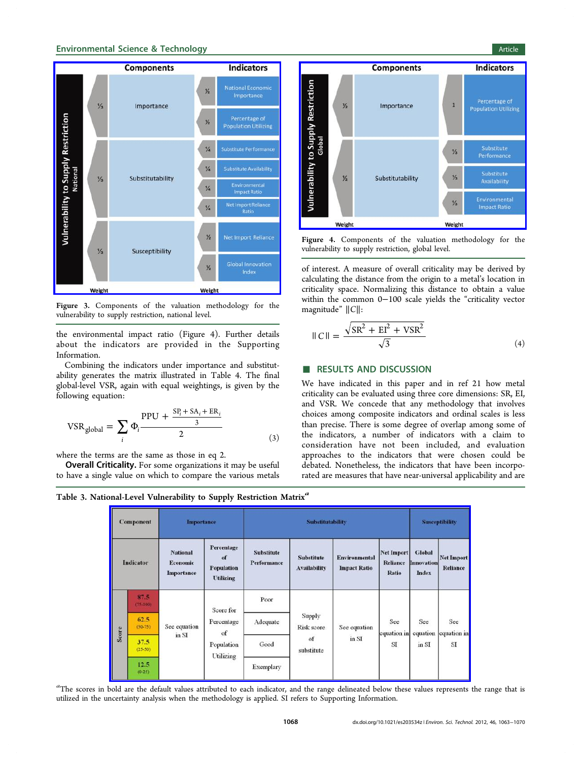#### **Environmental Science & Technology Article** Article 30 and 30 and 30 and 30 and 30 and 30 and 30 and 30 and 30 and 30 and 30 and 30 and 30 and 30 and 30 and 30 and 30 and 30 and 30 and 30 and 30 and 30 and 30 and 30 and 3



Figure 3. Components of the valuation methodology for the vulnerability to supply restriction, national level.

the environmental impact ratio (Figure [4\)](#page-5-0). Further details about the indicators are provided in the [Supporting](#page-6-0) [Information.](#page-6-0)

Combining the indicators under importance and substitutability generates the matrix illustrated in Table [4.](#page-6-0) The final global-level VSR, again with equal weightings, is given by the following equation:

$$
VSR_{global} = \sum_{i} \Phi_{i} \frac{PPU + \frac{SP_{i} + SA_{i} + ER_{i}}{3}}{2}
$$
 (3)

where the terms are the same as those in eq [2.](#page-4-0)

**Overall Criticality.** For some organizations it may be useful to have a single value on which to compare the various metals



Figure 4. Components of the valuation methodology for the vulnerability to supply restriction, global level.

of interest. A measure of overall criticality may be derived by calculating the distance from the origin to a metal's location in criticality space. Normalizing this distance to obtain a value within the common 0−100 scale yields the "criticality vector magnitude" ∥C∥:

$$
||C|| = \frac{\sqrt{SR^2 + EI^2 + VSR^2}}{\sqrt{3}}
$$
(4)

#### ■ RESULTS AND DISCUSSION

We have indicated in this paper and in ref [21](#page-7-0) how metal criticality can be evaluated using three core dimensions: SR, EI, and VSR. We concede that any methodology that involves choices among composite indicators and ordinal scales is less than precise. There is some degree of overlap among some of the indicators, a number of indicators with a claim to consideration have not been included, and evaluation approaches to the indicators that were chosen could be debated. Nonetheless, the indicators that have been incorporated are measures that have near-universal applicability and are

T[a](#page-5-0)ble 3. National-Level Vulnerability to Supply Restriction Matrix<sup>a</sup>

| Component<br><b>Importance</b> |                    |                                                  |                                                           | <b>Susceptibility</b>            |                                          |                                             |                                                      |                                      |                               |
|--------------------------------|--------------------|--------------------------------------------------|-----------------------------------------------------------|----------------------------------|------------------------------------------|---------------------------------------------|------------------------------------------------------|--------------------------------------|-------------------------------|
|                                | Indicator          | <b>National</b><br>Economic<br><b>Importance</b> | Percentage<br>of<br><b>Population</b><br><b>Utilizing</b> | <b>Substitute</b><br>Performance | <b>Substitute</b><br><b>Availability</b> | <b>Environmental</b><br><b>Impact Ratio</b> | <b>Net Import</b><br><b>Reliance</b><br><b>Ratio</b> | Global<br><b>Innovation</b><br>Index | Net Import<br><b>Reliance</b> |
|                                | 87.5<br>$(75-100)$ |                                                  | Score for                                                 | Poor                             |                                          |                                             |                                                      |                                      |                               |
|                                | 62.5<br>$(50-75)$  | See equation                                     | Percentage<br>of<br>Population<br>Utilizing               | Adequate                         | Supply<br>Risk score<br>of<br>substitute | See equation<br>in SI                       | See<br>equation in<br>SI                             | See<br>equation<br>in SI             | See<br>equation in<br>SI      |
| Score                          | 37.5<br>$(25-50)$  | in SI                                            |                                                           | Good                             |                                          |                                             |                                                      |                                      |                               |
|                                | 12.5<br>$(0-25)$   |                                                  |                                                           | Exemplary                        |                                          |                                             |                                                      |                                      |                               |

<span id="page-5-0"></span><sup>a</sup>The scores in bold are the default values attributed to each indicator, and the range delineated below these values represents the range that is utilized in the uncertainty analysis when the methodology is applied. SI refers to [Supporting Information.](#page-6-0)

1068 dx.doi.org/10.1021/es203534z | Environ. Sci. Technol. 2012, 46, 1063−1070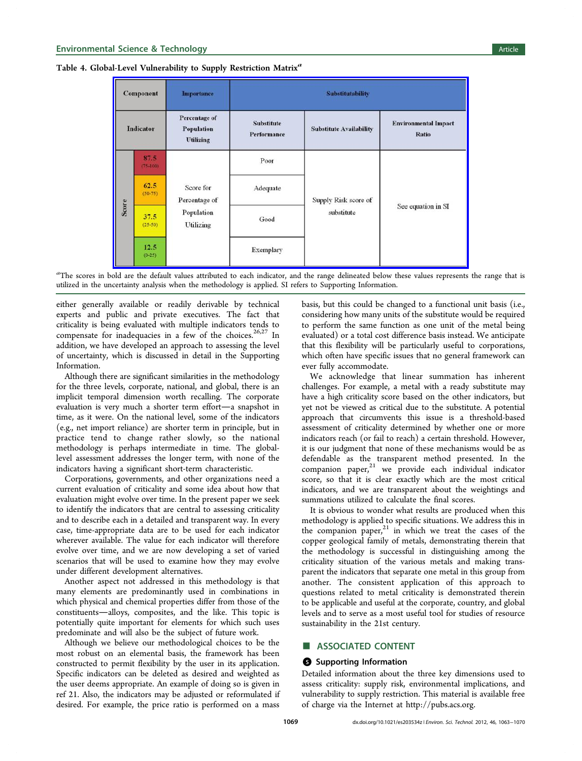T[a](#page-6-0)ble 4. Global-Level Vulnerability to Supply Restriction Matrix<sup>a</sup>

|       | <b>Component</b>   | <b>Importance</b>                               | <b>Substitutability</b>          |                                |                                      |  |  |  |
|-------|--------------------|-------------------------------------------------|----------------------------------|--------------------------------|--------------------------------------|--|--|--|
|       | Indicator          | Percentage of<br>Population<br><b>Utilizing</b> | <b>Substitute</b><br>Performance | <b>Substitute Availability</b> | <b>Environmental Impact</b><br>Ratio |  |  |  |
|       | 87.5<br>$(75-100)$ |                                                 | Poor                             |                                |                                      |  |  |  |
|       | 62.5<br>$(50-75)$  | Score for<br>Percentage of                      | Adequate                         | Supply Risk score of           |                                      |  |  |  |
| Score | 37.5<br>$(25-50)$  | Population<br>Utilizing                         | Good                             | substitute                     | See equation in SI                   |  |  |  |
|       | 12.5<br>$(0-25)$   |                                                 | Exemplary                        |                                |                                      |  |  |  |

<sup>a</sup>The scores in bold are the default values attributed to each indicator, and the range delineated below these values represents the range that is utilized in the uncertainty analysis when the methodology is applied. SI refers to [Supporting Information.](#page-6-0)

either generally available or readily derivable by technical experts and public and private executives. The fact that criticality is being evaluated with multiple indicators tends to compensate for inadequacies in a few of the choices.<sup>[26](#page-7-0),[27](#page-7-0)</sup> In addition, we have developed an approach to assessing the level of uncertainty, which is discussed in detail in the [Supporting](#page-6-0) [Information.](#page-6-0)

Although there are significant similarities in the methodology for the three levels, corporate, national, and global, there is an implicit temporal dimension worth recalling. The corporate evaluation is very much a shorter term effort-a snapshot in time, as it were. On the national level, some of the indicators (e.g., net import reliance) are shorter term in principle, but in practice tend to change rather slowly, so the national methodology is perhaps intermediate in time. The globallevel assessment addresses the longer term, with none of the indicators having a significant short-term characteristic.

Corporations, governments, and other organizations need a current evaluation of criticality and some idea about how that evaluation might evolve over time. In the present paper we seek to identify the indicators that are central to assessing criticality and to describe each in a detailed and transparent way. In every case, time-appropriate data are to be used for each indicator wherever available. The value for each indicator will therefore evolve over time, and we are now developing a set of varied scenarios that will be used to examine how they may evolve under different development alternatives.

Another aspect not addressed in this methodology is that many elements are predominantly used in combinations in which physical and chemical properties differ from those of the constituents-alloys, composites, and the like. This topic is potentially quite important for elements for which such uses predominate and will also be the subject of future work.

<span id="page-6-0"></span>Although we believe our methodological choices to be the most robust on an elemental basis, the framework has been constructed to permit flexibility by the user in its application. Specific indicators can be deleted as desired and weighted as the user deems appropriate. An example of doing so is given in ref [21](#page-7-0). Also, the indicators may be adjusted or reformulated if desired. For example, the price ratio is performed on a mass

basis, but this could be changed to a functional unit basis (i.e., considering how many units of the substitute would be required to perform the same function as one unit of the metal being evaluated) or a total cost difference basis instead. We anticipate that this flexibility will be particularly useful to corporations, which often have specific issues that no general framework can ever fully accommodate.

We acknowledge that linear summation has inherent challenges. For example, a metal with a ready substitute may have a high criticality score based on the other indicators, but yet not be viewed as critical due to the substitute. A potential approach that circumvents this issue is a threshold-based assessment of criticality determined by whether one or more indicators reach (or fail to reach) a certain threshold. However, it is our judgment that none of these mechanisms would be as defendable as the transparent method presented. In the companion paper, $21$  we provide each individual indicator score, so that it is clear exactly which are the most critical indicators, and we are transparent about the weightings and summations utilized to calculate the final scores.

It is obvious to wonder what results are produced when this methodology is applied to specific situations. We address this in the companion paper, $21$  in which we treat the cases of the copper geological family of metals, demonstrating therein that the methodology is successful in distinguishing among the criticality situation of the various metals and making transparent the indicators that separate one metal in this group from another. The consistent application of this approach to questions related to metal criticality is demonstrated therein to be applicable and useful at the corporate, country, and global levels and to serve as a most useful tool for studies of resource sustainability in the 21st century.

# ■ ASSOCIATED CONTENT

#### **S** Supporting Information

Detailed information about the three key dimensions used to assess criticality: supply risk, environmental implications, and vulnerability to supply restriction. This material is available free of charge via the Internet at<http://pubs.acs.org>.